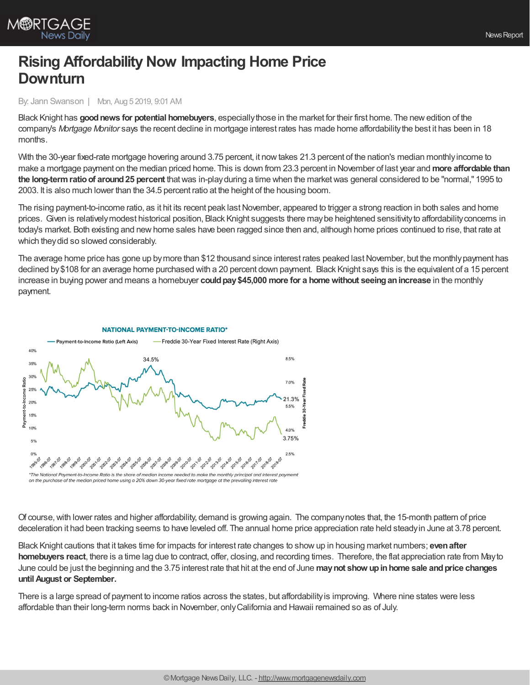

# **Rising Affordability Now Impacting Home Price Downturn**

By: Jann Swanson | Mon, Aug 5 2019, 9:01 AM

Black Knight has **goodnews for potential homebuyers**, especiallythose in the market for their first home. The newedition of the company's *Mortgage Monitor* says the recent decline in mortgage interest rates has made home affordabilitythe best it has been in 18 months.

With the 30-year fixed-rate mortgage hovering around 3.75 percent, it now takes 21.3 percent of the nation's median monthly income to make a mortgage payment on the median priced home. This is down from 23.3 percent in November of last year and **more affordable than the long-termratioof around25 percent** thatwas in-playduring a time when the marketwas general considered to be "normal," 1995 to 2003. It is also much lower than the 34.5 percent ratio at the height of the housing boom.

The rising payment-to-income ratio, as it hit its recent peak lastNovember, appeared to trigger a strong reaction in both sales and home prices. Given is relativelymodest historical position, Black Knight suggests there maybe heightened sensitivityto affordabilityconcerns in today's market. Both existing and newhome sales have been ragged since then and, although home prices continued to rise, that rate at which they did so slowed considerably.

The average home price has gone up by more than \$12 thousand since interest rates peaked last November, but the monthly payment has declined by \$108 for an average home purchased with a 20 percent down payment. Black Knight says this is the equivalent of a 15 percent increase in buying power and means a homebuyer could pay \$45,000 more for a home without seeing an increase in the monthly payment.



## Of course, with lower rates and higher affordability, demand is growing again. The company notes that, the 15-month pattern of price deceleration it had been tracking seems to have leveled off. The annual home price appreciation rate held steadyin June at 3.78 percent.

Black Knight cautions that it takes time for impacts for interest rate changes to showup in housing market numbers; **evenafter homebuyers react**, there is a time lag due to contract, offer, closing, and recording times. Therefore, the flat appreciation rate from Mayto June could be just the beginning and the 3.75 interest rate that hit at the end of June **maynot show upinhome sale andprice changes untilAugust or September.**

There is a large spread of payment to income ratios across the states, but affordabilityis improving. Where nine states were less affordable than their long-term norms back in November, onlyCalifornia and Hawaii remained so as of July.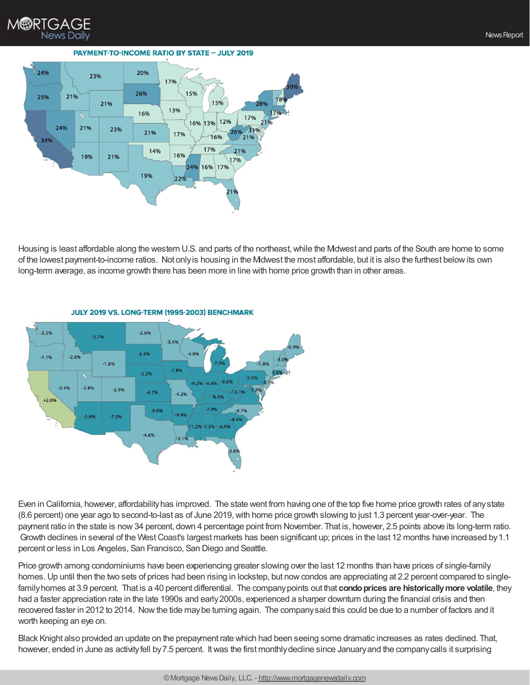

#### **PAYMENT-TO-INCOME RATIO BY STATE - JULY 2019**



Housing is least affordable along the western U.S. and parts of the northeast,while the Midwest and parts of the South are home to some of the lowest payment-to-income ratios. Not onlyis housing in the Midwest the most affordable, but it is also the furthest belowits own long-term average, as income growth there has been more in line with home price growth than in other areas.



#### JULY 2019 VS. LONG-TERM (1995-2003) BENCHMARK

Even in California, however, affordabilityhas improved. The state went from having one of the top five home price growth rates of anystate (8.6 percent) one year ago to second-to-last as of June 2019,with home price growth slowing to just 1.3 percent year-over-year. The payment ratio in the state is now34 percent, down 4 percentage point from November. That is, however, 2.5 points above its long-term ratio. Growth declines in several of the West Coast's largest markets has been significant up; prices in the last 12 months have increased by 1.1 percent or less in Los Angeles, San Francisco, San Diego and Seattle.

Price growth among condominiums have been experiencing greater slowing over the last 12 months than have prices of single-family homes. Up until then the two sets of prices had been rising in lockstep, but now condos are appreciating at 2.2 percent compared to singlefamily homes at 3.9 percent. That is a 40 percent differential. The company points out that **condo prices are historically more volatile**, they had a faster appreciation rate in the late 1990s and early2000s, experienced a sharper downturn during the financial crisis and then recovered faster in 2012 to 2014. Nowthe tide maybe turning again. The companysaid this could be due to a number of factors and it worth keeping an eye on.

Black Knight also provided an update on the prepayment rate which had been seeing some dramatic increases as rates declined. That, however, ended in June as activity fell by 7.5 percent. It was the first monthly decline since January and the company calls it surprising